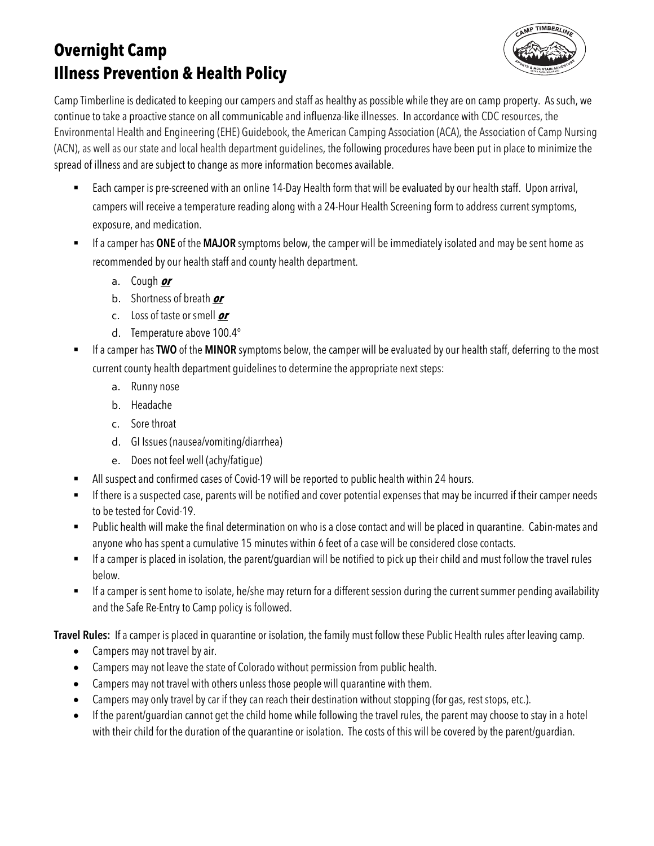# **Overnight Camp Illness Prevention & Health Policy**



Camp Timberline is dedicated to keeping our campers and staff as healthy as possible while they are on camp property. As such, we continue to take a proactive stance on all communicable and influenza-like illnesses. In accordance with CDC resources, the Environmental Health and Engineering (EHE) Guidebook, the American Camping Association (ACA), the Association of Camp Nursing (ACN), as well as our state and local health department guidelines, the following procedures have been put in place to minimize the spread of illness and are subject to change as more information becomes available.

- Each camper is pre-screened with an online 14-Day Health form that will be evaluated by our health staff. Upon arrival, campers will receive a temperature reading along with a 24-Hour Health Screening form to address current symptoms, exposure, and medication.
- § If a camper has **ONE** of the **MAJOR** symptoms below, the camper will be immediately isolated and may be sent home as recommended by our health staff and county health department.
	- a. Cough **or**
	- b. Shortness of breath **or**
	- c. Loss of taste or smell **or**
	- d. Temperature above 100.4°
- § If a camper has **TWO** of the **MINOR** symptoms below, the camper will be evaluated by our health staff, deferring to the most current county health department guidelines to determine the appropriate next steps:
	- a. Runny nose
	- b. Headache
	- c. Sore throat
	- d. GI Issues (nausea/vomiting/diarrhea)
	- e. Does not feel well (achy/fatigue)
- All suspect and confirmed cases of Covid-19 will be reported to public health within 24 hours.
- **■** If there is a suspected case, parents will be notified and cover potential expenses that may be incurred if their camper needs to be tested for Covid-19.
- § Public health will make the final determination on who is a close contact and will be placed in quarantine. Cabin-mates and anyone who has spent a cumulative 15 minutes within 6 feet of a case will be considered close contacts.
- If a camper is placed in isolation, the parent/guardian will be notified to pick up their child and must follow the travel rules below.
- If a camper is sent home to isolate, he/she may return for a different session during the current summer pending availability and the Safe Re-Entry to Camp policy is followed.

**Travel Rules:** If a camper is placed in quarantine or isolation, the family must follow these Public Health rules after leaving camp.

- Campers may not travel by air.
- Campers may not leave the state of Colorado without permission from public health.
- Campers may not travel with others unless those people will quarantine with them.
- Campers may only travel by car if they can reach their destination without stopping (for gas, rest stops, etc.).
- If the parent/guardian cannot get the child home while following the travel rules, the parent may choose to stay in a hotel with their child for the duration of the quarantine or isolation. The costs of this will be covered by the parent/guardian.